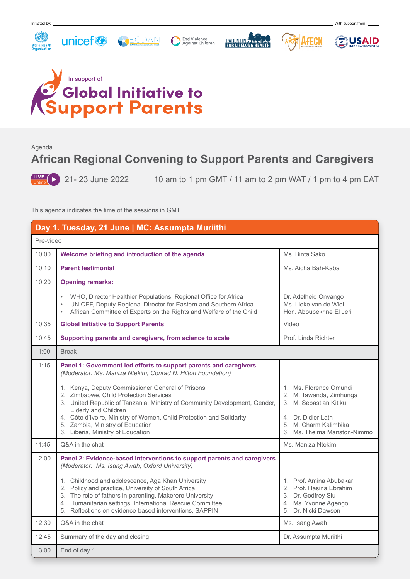

## **Global Initiative to**<br>upport Parents

Agenda

## **African Regional Convening to Support Parents and Caregivers**

 $\frac{LIVE}{\text{Online}}$  21 - 23 June 2022

10 am to 1 pm GMT / 11 am to 2 pm WAT / 1 pm to 4 pm EAT

This agenda indicates the time of the sessions in GMT.

| Day 1. Tuesday, 21 June   MC: Assumpta Muriithi |                                                                                                                                                                                                                                                                                                                                                                                                                                                                                       |                                                                                                                                                           |  |  |
|-------------------------------------------------|---------------------------------------------------------------------------------------------------------------------------------------------------------------------------------------------------------------------------------------------------------------------------------------------------------------------------------------------------------------------------------------------------------------------------------------------------------------------------------------|-----------------------------------------------------------------------------------------------------------------------------------------------------------|--|--|
| Pre-video                                       |                                                                                                                                                                                                                                                                                                                                                                                                                                                                                       |                                                                                                                                                           |  |  |
| 10:00                                           | Welcome briefing and introduction of the agenda                                                                                                                                                                                                                                                                                                                                                                                                                                       | Ms. Binta Sako                                                                                                                                            |  |  |
| 10:10                                           | <b>Parent testimonial</b>                                                                                                                                                                                                                                                                                                                                                                                                                                                             | Ms. Aicha Bah-Kaba                                                                                                                                        |  |  |
| 10:20                                           | <b>Opening remarks:</b>                                                                                                                                                                                                                                                                                                                                                                                                                                                               |                                                                                                                                                           |  |  |
|                                                 | • WHO, Director Healthier Populations, Regional Office for Africa<br>UNICEF, Deputy Regional Director for Eastern and Southern Africa<br>African Committee of Experts on the Rights and Welfare of the Child                                                                                                                                                                                                                                                                          | Dr. Adelheid Onyango<br>Ms. Lieke van de Wiel<br>Hon. Aboubekrine El Jeri                                                                                 |  |  |
| 10:35                                           | <b>Global Initiative to Support Parents</b>                                                                                                                                                                                                                                                                                                                                                                                                                                           | Video                                                                                                                                                     |  |  |
| 10:45                                           | Supporting parents and caregivers, from science to scale                                                                                                                                                                                                                                                                                                                                                                                                                              | Prof. Linda Richter                                                                                                                                       |  |  |
| 11:00                                           | <b>Break</b>                                                                                                                                                                                                                                                                                                                                                                                                                                                                          |                                                                                                                                                           |  |  |
| 11:15                                           | Panel 1: Government led efforts to support parents and caregivers<br>(Moderator: Ms. Maniza Ntekim, Conrad N. Hilton Foundation)<br>1. Kenya, Deputy Commissioner General of Prisons<br>2. Zimbabwe, Child Protection Services<br>3. United Republic of Tanzania, Ministry of Community Development, Gender,<br>Elderly and Children<br>4. Côte d'Ivoire, Ministry of Women, Child Protection and Solidarity<br>5. Zambia, Ministry of Education<br>6. Liberia, Ministry of Education | 1. Ms. Florence Omundi<br>2. M. Tawanda, Zimhunga<br>3. M. Sebastian Kitiku<br>4. Dr. Didier Lath<br>5. M. Charm Kalimbika<br>6. Ms. Thelma Manston-Nimmo |  |  |
| 11:45                                           | Q&A in the chat                                                                                                                                                                                                                                                                                                                                                                                                                                                                       | Ms. Maniza Ntekim                                                                                                                                         |  |  |
| 12:00                                           | Panel 2: Evidence-based interventions to support parents and caregivers<br>(Moderator: Ms. Isang Awah, Oxford University)<br>1. Childhood and adolescence, Aga Khan University<br>2. Policy and practice, University of South Africa<br>3. The role of fathers in parenting, Makerere University<br>4. Humanitarian settings, International Rescue Committee<br>5. Reflections on evidence-based interventions, SAPPIN                                                                | 1. Prof. Amina Abubakar<br>2. Prof. Hasina Ebrahim<br>3. Dr. Godfrey Siu<br>4. Ms. Yvonne Agengo<br>5. Dr. Nicki Dawson                                   |  |  |
| 12:30                                           | Q&A in the chat                                                                                                                                                                                                                                                                                                                                                                                                                                                                       | Ms. Isang Awah                                                                                                                                            |  |  |
| 12:45                                           | Summary of the day and closing                                                                                                                                                                                                                                                                                                                                                                                                                                                        | Dr. Assumpta Muriithi                                                                                                                                     |  |  |
| 13:00                                           | End of day 1                                                                                                                                                                                                                                                                                                                                                                                                                                                                          |                                                                                                                                                           |  |  |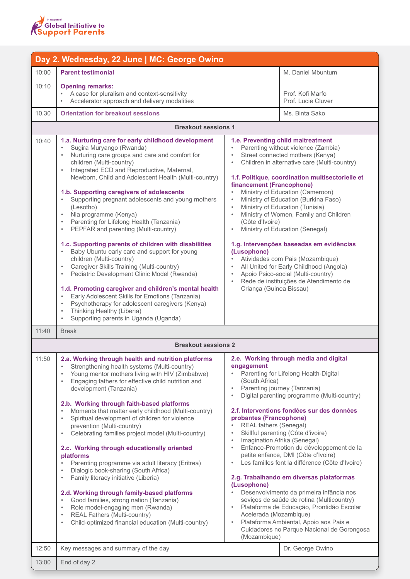

| Day 2. Wednesday, 22 June   MC: George Owino |                                                                                                                                                                                                                                                                                                                                                                                                                                                                                                                                                                                                                                                                                                                                                                                                                                                                                                                                                                                                                                                                                                  |                                                                                                                                                                                                                                                                                                                                                                                                                                                                                                                                                                                                                                                                                                                                                                                                                                                                                                                                             |  |  |
|----------------------------------------------|--------------------------------------------------------------------------------------------------------------------------------------------------------------------------------------------------------------------------------------------------------------------------------------------------------------------------------------------------------------------------------------------------------------------------------------------------------------------------------------------------------------------------------------------------------------------------------------------------------------------------------------------------------------------------------------------------------------------------------------------------------------------------------------------------------------------------------------------------------------------------------------------------------------------------------------------------------------------------------------------------------------------------------------------------------------------------------------------------|---------------------------------------------------------------------------------------------------------------------------------------------------------------------------------------------------------------------------------------------------------------------------------------------------------------------------------------------------------------------------------------------------------------------------------------------------------------------------------------------------------------------------------------------------------------------------------------------------------------------------------------------------------------------------------------------------------------------------------------------------------------------------------------------------------------------------------------------------------------------------------------------------------------------------------------------|--|--|
| 10:00                                        | <b>Parent testimonial</b>                                                                                                                                                                                                                                                                                                                                                                                                                                                                                                                                                                                                                                                                                                                                                                                                                                                                                                                                                                                                                                                                        | M. Daniel Mbuntum                                                                                                                                                                                                                                                                                                                                                                                                                                                                                                                                                                                                                                                                                                                                                                                                                                                                                                                           |  |  |
| 10:10                                        | <b>Opening remarks:</b><br>A case for pluralism and context-sensitivity<br>Accelerator approach and delivery modalities                                                                                                                                                                                                                                                                                                                                                                                                                                                                                                                                                                                                                                                                                                                                                                                                                                                                                                                                                                          | Prof. Kofi Marfo<br>Prof. Lucie Cluver                                                                                                                                                                                                                                                                                                                                                                                                                                                                                                                                                                                                                                                                                                                                                                                                                                                                                                      |  |  |
| 10.30                                        | <b>Orientation for breakout sessions</b>                                                                                                                                                                                                                                                                                                                                                                                                                                                                                                                                                                                                                                                                                                                                                                                                                                                                                                                                                                                                                                                         | Ms. Binta Sako                                                                                                                                                                                                                                                                                                                                                                                                                                                                                                                                                                                                                                                                                                                                                                                                                                                                                                                              |  |  |
| <b>Breakout sessions 1</b>                   |                                                                                                                                                                                                                                                                                                                                                                                                                                                                                                                                                                                                                                                                                                                                                                                                                                                                                                                                                                                                                                                                                                  |                                                                                                                                                                                                                                                                                                                                                                                                                                                                                                                                                                                                                                                                                                                                                                                                                                                                                                                                             |  |  |
| 10:40                                        | 1.a. Nurturing care for early childhood development<br>Sugira Muryango (Rwanda)<br>Nurturing care groups and care and comfort for<br>children (Multi-country)<br>Integrated ECD and Reproductive, Maternal,<br>٠<br>Newborn, Child and Adolescent Health (Multi-country)<br>1.b. Supporting caregivers of adolescents<br>Supporting pregnant adolescents and young mothers<br>(Lesotho)<br>Nia programme (Kenya)<br>$\bullet$<br>Parenting for Lifelong Health (Tanzania)<br>$\bullet$<br>PEPFAR and parenting (Multi-country)<br>1.c. Supporting parents of children with disabilities<br>Baby Ubuntu early care and support for young<br>$\bullet$<br>children (Multi-country)<br>Caregiver Skills Training (Multi-country)<br>$\bullet$<br>Pediatric Development Clinic Model (Rwanda)<br>$\bullet$<br>1.d. Promoting caregiver and children's mental health<br>Early Adolescent Skills for Emotions (Tanzania)<br>$\bullet$<br>Psychotherapy for adolescent caregivers (Kenya)<br>$\bullet$<br>Thinking Healthy (Liberia)<br>$\bullet$<br>Supporting parents in Uganda (Uganda)<br>$\bullet$ | 1.e. Preventing child maltreatment<br>Parenting without violence (Zambia)<br>Street connected mothers (Kenya)<br>Children in alternative care (Multi-country)<br>1.f. Politique, coordination multisectorielle et<br>financement (Francophone)<br>Ministry of Education (Cameroon)<br>Ministry of Education (Burkina Faso)<br>Ministry of Education (Tunisia)<br>$\bullet$<br>Ministry of Women, Family and Children<br>$\bullet$<br>(Côte d'Ivoire)<br>Ministry of Education (Senegal)<br>$\bullet$<br>1.g. Intervenções baseadas em evidências<br>(Lusophone)<br>Atividades com Pais (Mozambique)<br>All United for Early Childhood (Angola)<br>Apoio Psico-social (Multi-country)<br>Rede de instituições de Atendimento de<br>Criança (Guinea Bissau)                                                                                                                                                                                   |  |  |
| 11:40                                        | <b>Break</b>                                                                                                                                                                                                                                                                                                                                                                                                                                                                                                                                                                                                                                                                                                                                                                                                                                                                                                                                                                                                                                                                                     |                                                                                                                                                                                                                                                                                                                                                                                                                                                                                                                                                                                                                                                                                                                                                                                                                                                                                                                                             |  |  |
|                                              | <b>Breakout sessions 2</b>                                                                                                                                                                                                                                                                                                                                                                                                                                                                                                                                                                                                                                                                                                                                                                                                                                                                                                                                                                                                                                                                       |                                                                                                                                                                                                                                                                                                                                                                                                                                                                                                                                                                                                                                                                                                                                                                                                                                                                                                                                             |  |  |
| 11:50                                        | 2.a. Working through health and nutrition platforms<br>Strengthening health systems (Multi-country)<br>$\bullet$<br>Young mentor mothers living with HIV (Zimbabwe)<br>Engaging fathers for effective child nutrition and<br>$\bullet$<br>development (Tanzania)<br>2.b. Working through faith-based platforms<br>Moments that matter early childhood (Multi-country)<br>Spiritual development of children for violence<br>$\bullet$<br>prevention (Multi-country)<br>Celebrating families project model (Multi-country)<br>۰<br>2.c. Working through educationally oriented<br>platforms<br>Parenting programme via adult literacy (Eritrea)<br>$\bullet$<br>Dialogic book-sharing (South Africa)<br>$\bullet$<br>Family literacy initiative (Liberia)<br>۰<br>2.d. Working through family-based platforms<br>Good families, strong nation (Tanzania)<br>$\bullet$<br>Role model-engaging men (Rwanda)<br>$\bullet$<br>REAL Fathers (Multi-country)<br>$\bullet$<br>Child-optimized financial education (Multi-country)<br>۰                                                                    | 2.e. Working through media and digital<br>engagement<br>Parenting for Lifelong Health-Digital<br>(South Africa)<br>Parenting journey (Tanzania)<br>Digital parenting programme (Multi-country)<br>$\bullet$<br>2.f. Interventions fondées sur des données<br>probantes (Francophone)<br>REAL fathers (Senegal)<br>Skillful parenting (Côte d'ivoire)<br>$\bullet$<br>Imagination Afrika (Senegal)<br>$\bullet$<br>Enfance-Promotion du développement de la<br>$\bullet$<br>petite enfance, DMI (Côte d'Ivoire)<br>Les familles font la différence (Côte d'Ivoire)<br>$\bullet$<br>2.g. Trabalhando em diversas plataformas<br>(Lusophone)<br>Desenvolvimento da primeira infância nos<br>seviços de saúde de rotina (Multicountry)<br>Plataforma de Educação, Prontidão Escolar<br>$\bullet$<br>Acelerada (Mozambique)<br>Plataforma Ambiental, Apoio aos Pais e<br>$\bullet$<br>Cuidadores no Parque Nacional de Gorongosa<br>(Mozambique) |  |  |
| 12:50                                        | Key messages and summary of the day                                                                                                                                                                                                                                                                                                                                                                                                                                                                                                                                                                                                                                                                                                                                                                                                                                                                                                                                                                                                                                                              | Dr. George Owino                                                                                                                                                                                                                                                                                                                                                                                                                                                                                                                                                                                                                                                                                                                                                                                                                                                                                                                            |  |  |
| 13:00                                        | End of day 2                                                                                                                                                                                                                                                                                                                                                                                                                                                                                                                                                                                                                                                                                                                                                                                                                                                                                                                                                                                                                                                                                     |                                                                                                                                                                                                                                                                                                                                                                                                                                                                                                                                                                                                                                                                                                                                                                                                                                                                                                                                             |  |  |